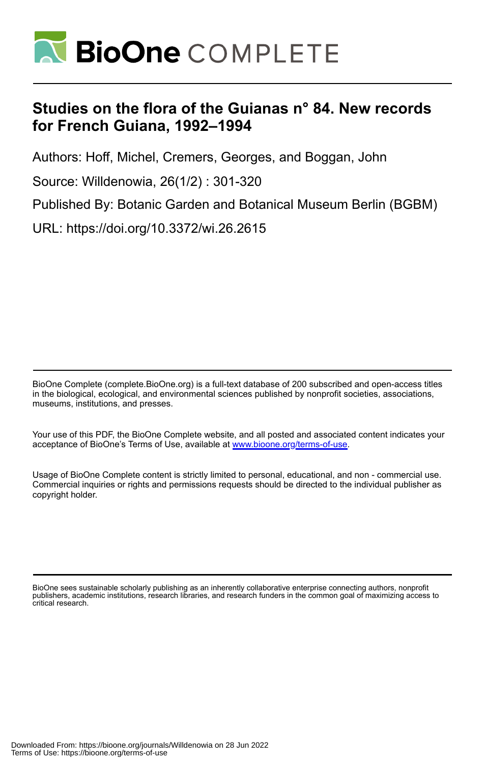

# **Studies on the flora of the Guianas n° 84. New records for French Guiana, 1992–1994**

Authors: Hoff, Michel, Cremers, Georges, and Boggan, John

Source: Willdenowia, 26(1/2) : 301-320

Published By: Botanic Garden and Botanical Museum Berlin (BGBM)

URL: https://doi.org/10.3372/wi.26.2615

BioOne Complete (complete.BioOne.org) is a full-text database of 200 subscribed and open-access titles in the biological, ecological, and environmental sciences published by nonprofit societies, associations, museums, institutions, and presses.

Your use of this PDF, the BioOne Complete website, and all posted and associated content indicates your acceptance of BioOne's Terms of Use, available at www.bioone.org/terms-of-use.

Usage of BioOne Complete content is strictly limited to personal, educational, and non - commercial use. Commercial inquiries or rights and permissions requests should be directed to the individual publisher as copyright holder.

BioOne sees sustainable scholarly publishing as an inherently collaborative enterprise connecting authors, nonprofit publishers, academic institutions, research libraries, and research funders in the common goal of maximizing access to critical research.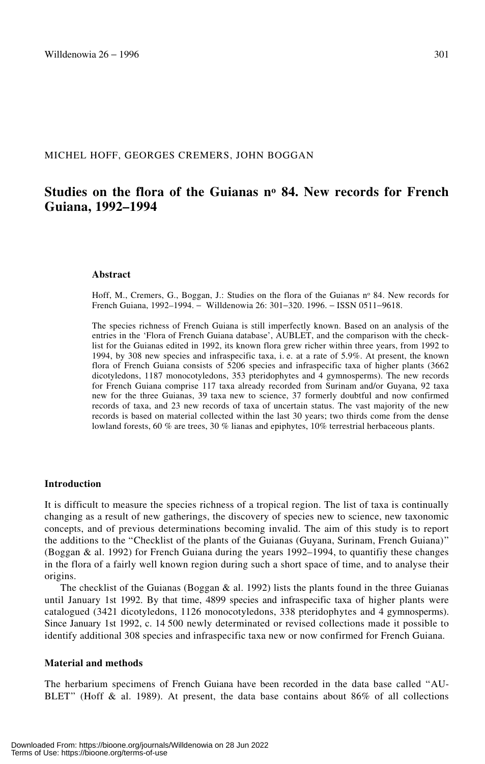## MICHEL HOFF, GEORGES CREMERS, JOHN BOGGAN

## **Studies on the flora of the Guianas no 84. New records for French Guiana, 1992–1994**

#### **Abstract**

Hoff, M., Cremers, G., Boggan, J.: Studies on the flora of the Guianas nº 84. New records for French Guiana, 1992–1994. − Willdenowia 26: 301−320. 1996. − ISSN 0511−9618.

The species richness of French Guiana is still imperfectly known. Based on an analysis of the entries in the 'Flora of French Guiana database', AUBLET, and the comparison with the checklist for the Guianas edited in 1992, its known flora grew richer within three years, from 1992 to 1994, by 308 new species and infraspecific taxa, i. e. at a rate of 5.9%. At present, the known flora of French Guiana consists of 5206 species and infraspecific taxa of higher plants (3662 dicotyledons, 1187 monocotyledons, 353 pteridophytes and 4 gymnosperms). The new records for French Guiana comprise 117 taxa already recorded from Surinam and/or Guyana, 92 taxa new for the three Guianas, 39 taxa new to science, 37 formerly doubtful and now confirmed records of taxa, and 23 new records of taxa of uncertain status. The vast majority of the new records is based on material collected within the last 30 years; two thirds come from the dense lowland forests, 60 % are trees, 30 % lianas and epiphytes, 10% terrestrial herbaceous plants.

#### **Introduction**

It is difficult to measure the species richness of a tropical region. The list of taxa is continually changing as a result of new gatherings, the discovery of species new to science, new taxonomic concepts, and of previous determinations becoming invalid. The aim of this study is to report the additions to the "Checklist of the plants of the Guianas (Guyana, Surinam, French Guiana)" (Boggan & al. 1992) for French Guiana during the years 1992–1994, to quantifiy these changes in the flora of a fairly well known region during such a short space of time, and to analyse their origins.

The checklist of the Guianas (Boggan  $\&$  al. 1992) lists the plants found in the three Guianas until January 1st 1992. By that time, 4899 species and infraspecific taxa of higher plants were catalogued (3421 dicotyledons, 1126 monocotyledons, 338 pteridophytes and 4 gymnosperms). Since January 1st 1992, c. 14 500 newly determinated or revised collections made it possible to identify additional 308 species and infraspecific taxa new or now confirmed for French Guiana.

#### **Material and methods**

The herbarium specimens of French Guiana have been recorded in the data base called "AU-BLET" (Hoff & al. 1989). At present, the data base contains about  $86\%$  of all collections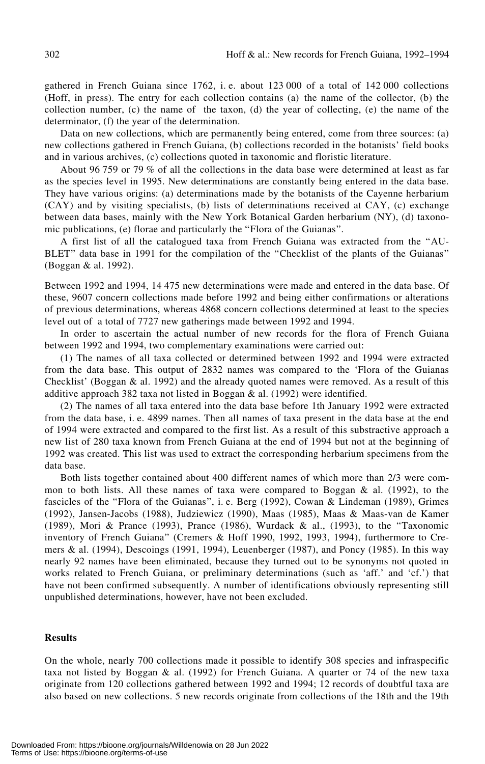gathered in French Guiana since 1762, i. e. about 123 000 of a total of 142 000 collections (Hoff, in press). The entry for each collection contains (a) the name of the collector, (b) the collection number, (c) the name of the taxon, (d) the year of collecting, (e) the name of the determinator, (f) the year of the determination.

Data on new collections, which are permanently being entered, come from three sources: (a) new collections gathered in French Guiana, (b) collections recorded in the botanists' field books and in various archives, (c) collections quoted in taxonomic and floristic literature.

About 96 759 or 79 % of all the collections in the data base were determined at least as far as the species level in 1995. New determinations are constantly being entered in the data base. They have various origins: (a) determinations made by the botanists of the Cayenne herbarium (CAY) and by visiting specialists, (b) lists of determinations received at CAY, (c) exchange between data bases, mainly with the New York Botanical Garden herbarium (NY), (d) taxonomic publications, (e) florae and particularly the "Flora of the Guianas".

A first list of all the catalogued taxa from French Guiana was extracted from the †AU-BLET" data base in 1991 for the compilation of the "Checklist of the plants of the Guianas" (Boggan & al. 1992).

Between 1992 and 1994, 14 475 new determinations were made and entered in the data base. Of these, 9607 concern collections made before 1992 and being either confirmations or alterations of previous determinations, whereas 4868 concern collections determined at least to the species level out of a total of 7727 new gatherings made between 1992 and 1994.

In order to ascertain the actual number of new records for the flora of French Guiana between 1992 and 1994, two complementary examinations were carried out:

(1) The names of all taxa collected or determined between 1992 and 1994 were extracted from the data base. This output of 2832 names was compared to the 'Flora of the Guianas Checklist' (Boggan & al. 1992) and the already quoted names were removed. As a result of this additive approach 382 taxa not listed in Boggan & al. (1992) were identified.

(2) The names of all taxa entered into the data base before 1th January 1992 were extracted from the data base, i. e. 4899 names. Then all names of taxa present in the data base at the end of 1994 were extracted and compared to the first list. As a result of this substractive approach a new list of 280 taxa known from French Guiana at the end of 1994 but not at the beginning of 1992 was created. This list was used to extract the corresponding herbarium specimens from the data base.

Both lists together contained about 400 different names of which more than 2/3 were common to both lists. All these names of taxa were compared to Boggan  $\&$  al. (1992), to the fascicles of the "Flora of the Guianas", i. e. Berg (1992), Cowan & Lindeman (1989), Grimes (1992), Jansen-Jacobs (1988), Judziewicz (1990), Maas (1985), Maas & Maas-van de Kamer (1989), Mori & Prance (1993), Prance (1986), Wurdack & al., (1993), to the †Taxonomic inventory of French Guiana" (Cremers & Hoff 1990, 1992, 1993, 1994), furthermore to Cremers & al. (1994), Descoings (1991, 1994), Leuenberger (1987), and Poncy (1985). In this way nearly 92 names have been eliminated, because they turned out to be synonyms not quoted in works related to French Guiana, or preliminary determinations (such as 'aff.' and 'cf.') that have not been confirmed subsequently. A number of identifications obviously representing still unpublished determinations, however, have not been excluded.

## **Results**

On the whole, nearly 700 collections made it possible to identify 308 species and infraspecific taxa not listed by Boggan  $\&$  al. (1992) for French Guiana. A quarter or 74 of the new taxa originate from 120 collections gathered between 1992 and 1994; 12 records of doubtful taxa are also based on new collections. 5 new records originate from collections of the 18th and the 19th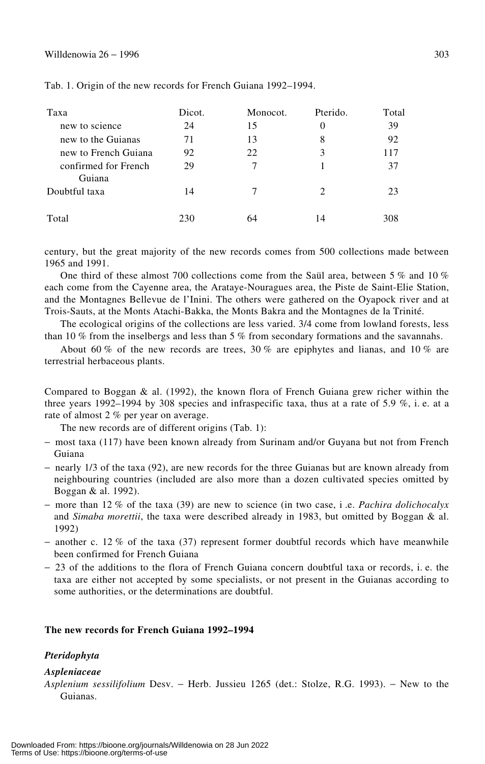## Willdenowia 26 − 1996  $303$

| Taxa                           | Dicot. | Monocot. | Pterido.                    | Total |
|--------------------------------|--------|----------|-----------------------------|-------|
| new to science                 | 24     | 15       | 0                           | 39    |
| new to the Guianas             | 71     | 13       | 8                           | 92    |
| new to French Guiana           | 92     | 22       | 3                           | 117   |
| confirmed for French<br>Guiana | 29     | 7        |                             | 37    |
| Doubtful taxa                  | 14     |          | $\mathcal{D}_{\mathcal{A}}$ | 23    |
| Total                          | 230    | 64       | 14                          | 308   |

Tab. 1. Origin of the new records for French Guiana 1992–1994.

century, but the great majority of the new records comes from 500 collections made between 1965 and 1991.

One third of these almost 700 collections come from the Saül area, between 5 % and 10 % each come from the Cayenne area, the Arataye-Nouragues area, the Piste de Saint-Elie Station, and the Montagnes Bellevue de l'Inini. The others were gathered on the Oyapock river and at Trois-Sauts, at the Monts Atachi-Bakka, the Monts Bakra and the Montagnes de la Trinité.

The ecological origins of the collections are less varied. 3/4 come from lowland forests, less than 10 % from the inselbergs and less than 5 % from secondary formations and the savannahs.

About 60 % of the new records are trees, 30 % are epiphytes and lianas, and 10 % are terrestrial herbaceous plants.

Compared to Boggan  $\&$  al. (1992), the known flora of French Guiana grew richer within the three years 1992–1994 by 308 species and infraspecific taxa, thus at a rate of 5.9  $\%$ , i.e. at a rate of almost 2 % per year on average.

The new records are of different origins (Tab. 1):

- − most taxa (117) have been known already from Surinam and/or Guyana but not from French Guiana
- − nearly 1/3 of the taxa (92), are new records for the three Guianas but are known already from neighbouring countries (included are also more than a dozen cultivated species omitted by Boggan & al. 1992).
- − more than 12 % of the taxa (39) are new to science (in two case, i .e. *Pachira dolichocalyx* and *Simaba morettii*, the taxa were described already in 1983, but omitted by Boggan & al. 1992)
- − another c. 12 % of the taxa (37) represent former doubtful records which have meanwhile been confirmed for French Guiana
- − 23 of the additions to the flora of French Guiana concern doubtful taxa or records, i. e. the taxa are either not accepted by some specialists, or not present in the Guianas according to some authorities, or the determinations are doubtful.

## **The new records for French Guiana 1992–1994**

#### *Pteridophyta*

#### *Aspleniaceae*

*Asplenium sessilifolium* Desv. − Herb. Jussieu 1265 (det.: Stolze, R.G. 1993). − New to the Guianas.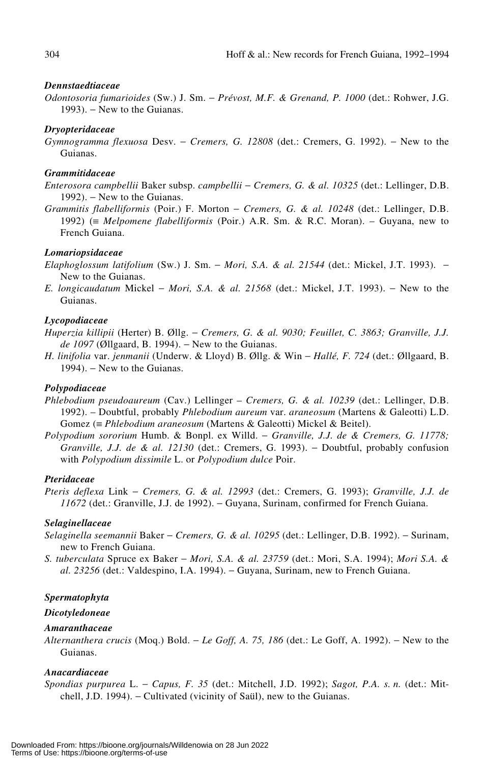#### *Dennstaedtiaceae*

*Odontosoria fumarioides* (Sw.) J. Sm. − *Prévost, M.F. & Grenand, P. 1000* (det.: Rohwer, J.G. 1993). – New to the Guianas.

## *Dryopteridaceae*

*Gymnogramma flexuosa* Desv. − *Cremers, G. 12808* (det.: Cremers, G. 1992). − New to the Guianas.

## *Grammitidaceae*

- *Enterosora campbellii* Baker subsp. *campbellii* − *Cremers, G. & al. 10325* (det.: Lellinger, D.B. 1992). – New to the Guianas.
- *Grammitis flabelliformis* (Poir.) F. Morton − *Cremers, G. & al. 10248* (det.: Lellinger, D.B. 1992) (≡ *Melpomene flabelliformis* (Poir.) A.R. Sm. & R.C. Moran). – Guyana, new to French Guiana.

## *Lomariopsidaceae*

- *Elaphoglossum latifolium* (Sw.) J. Sm. − *Mori, S.A. & al. 21544* (det.: Mickel, J.T. 1993). − New to the Guianas.
- *E. longicaudatum* Mickel − *Mori, S.A. & al. 21568* (det.: Mickel, J.T. 1993). − New to the Guianas.

## *Lycopodiaceae*

- *Huperzia killipii* (Herter) B. Øllg. − *Cremers, G. & al. 9030; Feuillet, C. 3863; Granville, J.J. de 1097* (Øllgaard, B. 1994). – New to the Guianas.
- *H. linifolia* var. *jenmanii* (Underw. & Lloyd) B. Øllg. & Win − *Hallé, F. 724* (det.: Øllgaard, B. 1994). – New to the Guianas.

## *Polypodiaceae*

- *Phlebodium pseudoaureum* (Cav.) Lellinger *Cremers, G. & al. 10239* (det.: Lellinger, D.B. 1992). – Doubtful, probably *Phlebodium aureum* var. *araneosum* (Martens & Galeotti) L.D. Gomez (≡ *Phlebodium araneosum* (Martens & Galeotti) Mickel & Beitel).
- *Polypodium sororium* Humb. & Bonpl. ex Willd. − *Granville, J.J. de & Cremers, G. 11778; Granville, J.J. de & al. 12130* (det.: Cremers, G. 1993). − Doubtful, probably confusion with *Polypodium dissimile* L. or *Polypodium dulce* Poir.

## *Pteridaceae*

*Pteris deflexa* Link − *Cremers, G. & al. 12993* (det.: Cremers, G. 1993); *Granville, J.J. de 11672* (det.: Granville, J.J. de 1992). – Guyana, Surinam, confirmed for French Guiana.

#### *Selaginellaceae*

- *Selaginella seemannii* Baker − *Cremers, G. & al. 10295* (det.: Lellinger, D.B. 1992). − Surinam, new to French Guiana.
- *S. tuberculata* Spruce ex Baker − *Mori, S.A. & al. 23759* (det.: Mori, S.A. 1994); *Mori S.A. & al. 23256* (det.: Valdespino, I.A. 1994). − Guyana, Surinam, new to French Guiana.

#### *Spermatophyta*

#### *Dicotyledoneae*

## *Amaranthaceae*

*Alternanthera crucis* (Moq.) Bold. − *Le Goff, A. 75, 186* (det.: Le Goff, A. 1992). − New to the Guianas.

## *Anacardiaceae*

*Spondias purpurea* L. − *Capus, F. 35* (det.: Mitchell, J.D. 1992); *Sagot, P.A. s. n.* (det.: Mitchell, J.D. 1994). − Cultivated (vicinity of Saül), new to the Guianas.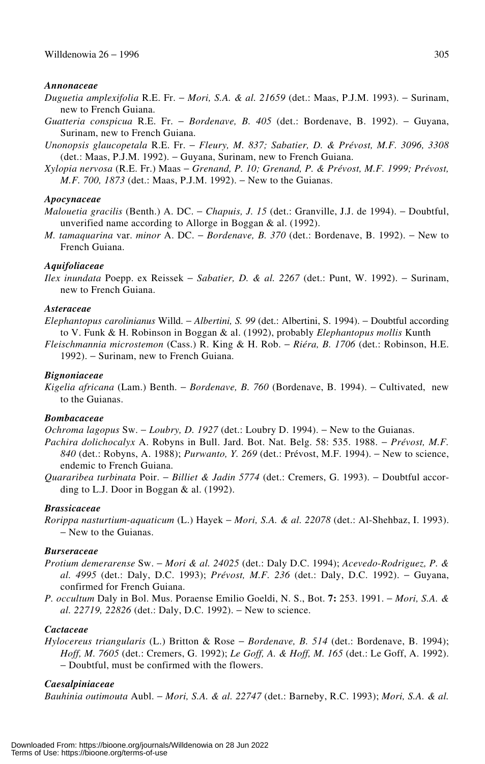#### *Annonaceae*

- *Duguetia amplexifolia* R.E. Fr. − *Mori, S.A. & al. 21659* (det.: Maas, P.J.M. 1993). − Surinam, new to French Guiana.
- *Guatteria conspicua* R.E. Fr. − *Bordenave, B. 405* (det.: Bordenave, B. 1992). − Guyana, Surinam, new to French Guiana.
- *Unonopsis glaucopetala* R.E. Fr. − *Fleury, M. 837; Sabatier, D. & Prévost, M.F. 3096, 3308* (det.: Maas, P.J.M. 1992). − Guyana, Surinam, new to French Guiana.
- *Xylopia nervosa* (R.E. Fr.) Maas − *Grenand, P. 10; Grenand, P. & Prévost, M.F. 1999; Prévost, M.F. 700, 1873* (det.: Maas, P.J.M. 1992). − New to the Guianas.

#### *Apocynaceae*

- *Malouetia gracilis* (Benth.) A. DC. − *Chapuis, J. 15* (det.: Granville, J.J. de 1994). − Doubtful, unverified name according to Allorge in Boggan & al. (1992).
- *M. tamaquarina* var. *minor* A. DC. *Bordenave*, *B.* 370 (det.: Bordenave, B. 1992). New to French Guiana.

## *Aquifoliaceae*

*Ilex inundata* Poepp. ex Reissek − *Sabatier, D. & al. 2267* (det.: Punt, W. 1992). − Surinam, new to French Guiana.

## *Asteraceae*

*Elephantopus carolinianus* Willd. − *Albertini, S. 99* (det.: Albertini, S. 1994). − Doubtful according to V. Funk & H. Robinson in Boggan & al. (1992), probably *Elephantopus mollis* Kunth

*Fleischmannia microstemon* (Cass.) R. King & H. Rob. − *Riéra, B. 1706* (det.: Robinson, H.E. 1992). − Surinam, new to French Guiana.

## *Bignoniaceae*

*Kigelia africana* (Lam.) Benth. − *Bordenave, B. 760* (Bordenave, B. 1994). − Cultivated, new to the Guianas.

## *Bombacaceae*

*Ochroma lagopus* Sw. – *Loubry, D. 1927* (det.: Loubry D. 1994). – New to the Guianas.

- *Pachira dolichocalyx* A. Robyns in Bull. Jard. Bot. Nat. Belg. 58: 535. 1988. − *Prévost, M.F. 840* (det.: Robyns, A. 1988); *Purwanto, Y. 269* (det.: Prévost, M.F. 1994). − New to science, endemic to French Guiana.
- *Quararibea turbinata* Poir. − *Billiet & Jadin 5774* (det.: Cremers, G. 1993). − Doubtful according to L.J. Door in Boggan & al. (1992).

#### *Brassicaceae*

*Rorippa nasturtium-aquaticum* (L.) Hayek − *Mori, S.A. & al. 22078* (det.: Al-Shehbaz, I. 1993). − New to the Guianas.

#### *Burseraceae*

- *Protium demerarense* Sw. − *Mori & al. 24025* (det.: Daly D.C. 1994); *Acevedo-Rodriguez, P. & al. 4995* (det.: Daly, D.C. 1993); *Prévost, M.F. 236* (det.: Daly, D.C. 1992). − Guyana, confirmed for French Guiana.
- *P. occultum* Daly in Bol. Mus. Poraense Emilio Goeldi, N. S., Bot. **7:** 253. 1991. − *Mori, S.A. & al.* 22719, 22826 (det.: Daly, D.C. 1992). – New to science.

## *Cactaceae*

*Hylocereus triangularis* (L.) Britton & Rose − *Bordenave, B. 514* (det.: Bordenave, B. 1994); *Hoff, M. 7605* (det.: Cremers, G. 1992); *Le Goff, A. & Hoff, M. 165* (det.: Le Goff, A. 1992). − Doubtful, must be confirmed with the flowers.

#### *Caesalpiniaceae*

*Bauhinia outimouta* Aubl. − *Mori, S.A. & al. 22747* (det.: Barneby, R.C. 1993); *Mori, S.A. & al.*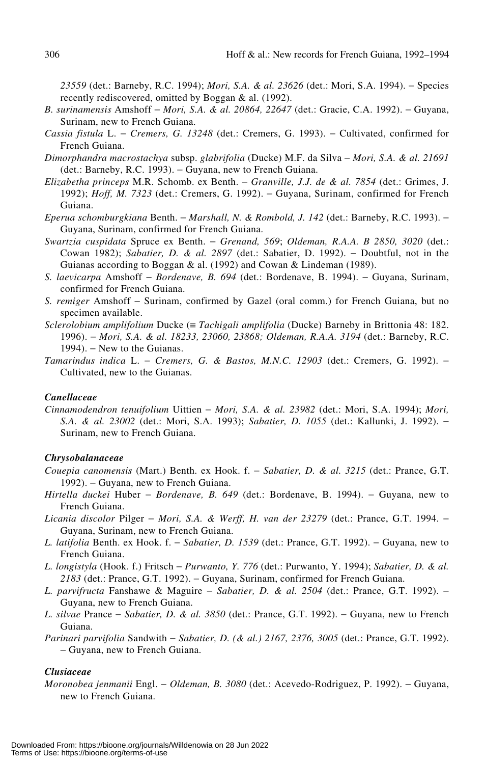*23559* (det.: Barneby, R.C. 1994); *Mori, S.A. & al. 23626* (det.: Mori, S.A. 1994). − Species recently rediscovered, omitted by Boggan & al. (1992).

- *B. surinamensis* Amshoff − *Mori, S.A. & al. 20864, 22647* (det.: Gracie, C.A. 1992). − Guyana, Surinam, new to French Guiana.
- *Cassia fistula* L. − *Cremers, G. 13248* (det.: Cremers, G. 1993). − Cultivated, confirmed for French Guiana.
- *Dimorphandra macrostachya* subsp. *glabrifolia* (Ducke) M.F. da Silva − *Mori, S.A. & al. 21691* (det.: Barneby, R.C. 1993). − Guyana, new to French Guiana.
- *Elizabetha princeps* M.R. Schomb. ex Benth. − *Granville, J.J. de & al. 7854* (det.: Grimes, J. 1992); *Hoff, M. 7323* (det.: Cremers, G. 1992). − Guyana, Surinam, confirmed for French Guiana.
- *Eperua schomburgkiana* Benth. − *Marshall, N. & Rombold, J. 142* (det.: Barneby, R.C. 1993). − Guyana, Surinam, confirmed for French Guiana.
- *Swartzia cuspidata* Spruce ex Benth. − *Grenand, 569*; *Oldeman, R.A.A. B 2850, 3020* (det.: Cowan 1982); *Sabatier, D. & al. 2897* (det.: Sabatier, D. 1992). − Doubtful, not in the Guianas according to Boggan & al. (1992) and Cowan & Lindeman (1989).
- *S. laevicarpa* Amshoff − *Bordenave, B. 694* (det.: Bordenave, B. 1994). − Guyana, Surinam, confirmed for French Guiana.
- *S. remiger* Amshoff − Surinam, confirmed by Gazel (oral comm.) for French Guiana, but no specimen available.
- *Sclerolobium amplifolium* Ducke (≡ *Tachigali amplifolia* (Ducke) Barneby in Brittonia 48: 182. 1996). − *Mori, S.A. & al. 18233, 23060, 23868; Oldeman, R.A.A. 3194* (det.: Barneby, R.C. 1994). – New to the Guianas.
- *Tamarindus indica* L. − *Cremers, G. & Bastos, M.N.C. 12903* (det.: Cremers, G. 1992). − Cultivated, new to the Guianas.

## *Canellaceae*

*Cinnamodendron tenuifolium* Uittien − *Mori, S.A. & al. 23982* (det.: Mori, S.A. 1994); *Mori, S.A. & al. 23002* (det.: Mori, S.A. 1993); *Sabatier, D. 1055* (det.: Kallunki, J. 1992). − Surinam, new to French Guiana.

## *Chrysobalanaceae*

- *Couepia canomensis* (Mart.) Benth. ex Hook. f. − *Sabatier, D. & al. 3215* (det.: Prance, G.T. 1992). – Guyana, new to French Guiana.
- *Hirtella duckei* Huber *Bordenave, B. 649* (det.: Bordenave, B. 1994). Guyana, new to French Guiana.
- *Licania discolor* Pilger − *Mori, S.A. & Werff, H. van der 23279* (det.: Prance, G.T. 1994. − Guyana, Surinam, new to French Guiana.
- *L. latifolia* Benth. ex Hook. f. − *Sabatier, D. 1539* (det.: Prance, G.T. 1992). − Guyana, new to French Guiana.
- *L. longistyla* (Hook. f.) Fritsch − *Purwanto, Y. 776* (det.: Purwanto, Y. 1994); *Sabatier, D. & al.* 2183 (det.: Prance, G.T. 1992). – Guyana, Surinam, confirmed for French Guiana.
- *L. parvifructa* Fanshawe & Maguire − *Sabatier, D. & al. 2504* (det.: Prance, G.T. 1992). − Guyana, new to French Guiana.
- *L. silvae* Prance − *Sabatier, D. & al. 3850* (det.: Prance, G.T. 1992). − Guyana, new to French Guiana.
- *Parinari parvifolia* Sandwith − *Sabatier, D. (& al.) 2167, 2376, 3005* (det.: Prance, G.T. 1992). − Guyana, new to French Guiana.

## *Clusiaceae*

*Moronobea jenmanii* Engl. − *Oldeman, B. 3080* (det.: Acevedo-Rodriguez, P. 1992). − Guyana, new to French Guiana.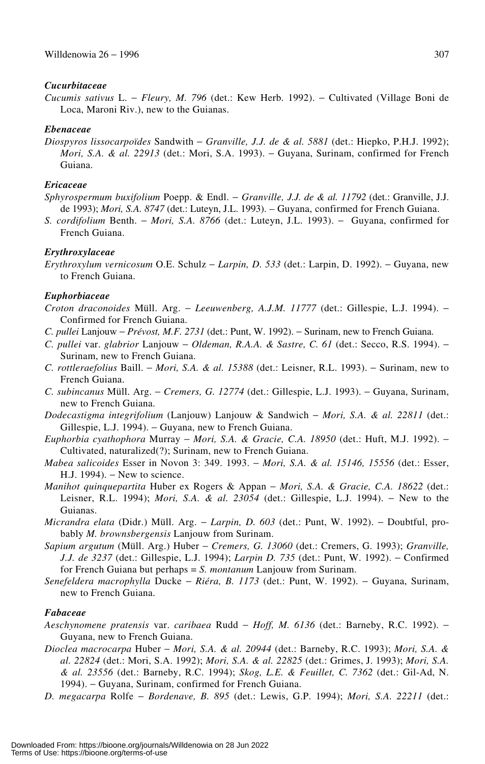## *Cucurbitaceae*

*Cucumis sativus* L. − *Fleury, M. 796* (det.: Kew Herb. 1992). − Cultivated (Village Boni de Loca, Maroni Riv.), new to the Guianas.

## *Ebenaceae*

*Diospyros lissocarpoïdes* Sandwith − *Granville, J.J. de & al. 5881* (det.: Hiepko, P.H.J. 1992); *Mori, S.A. & al. 22913* (det.: Mori, S.A. 1993). – Guyana, Surinam, confirmed for French Guiana.

## *Ericaceae*

- *Sphyrospermum buxifolium* Poepp. & Endl. − *Granville, J.J. de & al. 11792* (det.: Granville, J.J. de 1993); *Mori, S.A. 8747* (det.: Luteyn, J.L. 1993). – Guyana, confirmed for French Guiana.
- *S. cordifolium* Benth. − *Mori, S.A. 8766* (det.: Luteyn, J.L. 1993). − Guyana, confirmed for French Guiana.

## *Erythroxylaceae*

*Erythroxylum vernicosum* O.E. Schulz − *Larpin, D. 533* (det.: Larpin, D. 1992). − Guyana, new to French Guiana.

## *Euphorbiaceae*

- *Croton draconoides* Müll. Arg. − *Leeuwenberg, A.J.M. 11777* (det.: Gillespie, L.J. 1994). − Confirmed for French Guiana.
- *C. pullei* Lanjouw − *Prévost, M.F. 2731* (det.: Punt, W. 1992). − Surinam, new to French Guiana.
- *C. pullei* var. *glabrior* Lanjouw − *Oldeman, R.A.A. & Sastre, C. 61* (det.: Secco, R.S. 1994). − Surinam, new to French Guiana.
- *C. rottleraefolius* Baill. − *Mori, S.A. & al. 15388* (det.: Leisner, R.L. 1993). − Surinam, new to French Guiana.
- *C. subincanus* Müll. Arg. − *Cremers, G. 12774* (det.: Gillespie, L.J. 1993). − Guyana, Surinam, new to French Guiana.
- *Dodecastigma integrifolium* (Lanjouw) Lanjouw & Sandwich − *Mori, S.A. & al. 22811* (det.: Gillespie, L.J. 1994). − Guyana, new to French Guiana.
- *Euphorbia cyathophora* Murray − *Mori, S.A. & Gracie, C.A. 18950* (det.: Huft, M.J. 1992). − Cultivated, naturalized(?); Surinam, new to French Guiana.
- *Mabea salicoides* Esser in Novon 3: 349. 1993. − *Mori, S.A. & al. 15146, 15556* (det.: Esser, H.J. 1994). – New to science.
- *Manihot quinquepartita* Huber ex Rogers & Appan − *Mori, S.A. & Gracie, C.A. 18622* (det.: Leisner, R.L. 1994); *Mori, S.A. & al. 23054* (det.: Gillespie, L.J. 1994). − New to the Guianas.
- *Micrandra elata* (Didr.) Müll. Arg. − *Larpin, D. 603* (det.: Punt, W. 1992). − Doubtful, probably *M. brownsbergensis* Lanjouw from Surinam.
- *Sapium argutum* (Müll. Arg.) Huber − *Cremers, G. 13060* (det.: Cremers, G. 1993); *Granville, J.J. de 3237* (det.: Gillespie, L.J. 1994); *Larpin D. 735* (det.: Punt, W. 1992). − Confirmed for French Guiana but perhaps = *S. montanum* Lanjouw from Surinam.
- *Senefeldera macrophylla* Ducke − *Riéra, B. 1173* (det.: Punt, W. 1992). − Guyana, Surinam, new to French Guiana.

## *Fabaceae*

- *Aeschynomene pratensis* var. *caribaea* Rudd − *Hoff, M. 6136* (det.: Barneby, R.C. 1992). − Guyana, new to French Guiana.
- *Dioclea macrocarpa* Huber − *Mori, S.A. & al. 20944* (det.: Barneby, R.C. 1993); *Mori, S.A. & al. 22824* (det.: Mori, S.A. 1992); *Mori, S.A. & al. 22825* (det.: Grimes, J. 1993); *Mori, S.A. & al. 23556* (det.: Barneby, R.C. 1994); *Skog, L.E. & Feuillet, C. 7362* (det.: Gil-Ad, N. 1994). − Guyana, Surinam, confirmed for French Guiana.
- *D. megacarpa* Rolfe − *Bordenave, B. 895* (det.: Lewis, G.P. 1994); *Mori, S.A. 22211* (det.: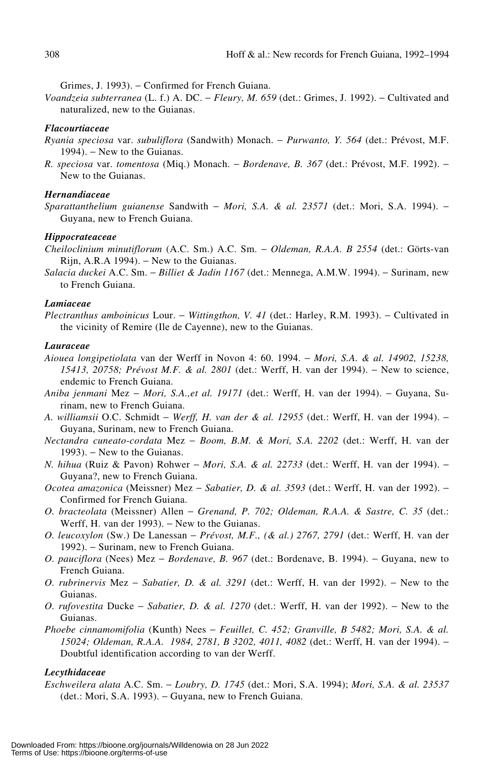Grimes, J. 1993). − Confirmed for French Guiana.

*Voandzeia subterranea* (L. f.) A. DC. − *Fleury, M. 659* (det.: Grimes, J. 1992). − Cultivated and naturalized, new to the Guianas.

## *Flacourtiaceae*

- *Ryania speciosa* var. *subuliflora* (Sandwith) Monach. − *Purwanto, Y. 564* (det.: Prévost, M.F. 1994). − New to the Guianas.
- *R. speciosa* var. *tomentosa* (Miq.) Monach. − *Bordenave, B. 367* (det.: Prévost, M.F. 1992). − New to the Guianas.

## *Hernandiaceae*

*Sparattanthelium guianense* Sandwith − *Mori, S.A. & al. 23571* (det.: Mori, S.A. 1994). − Guyana, new to French Guiana.

#### *Hippocrateaceae*

- *Cheiloclinium minutiflorum* (A.C. Sm.) A.C. Sm. − *Oldeman, R.A.A. B 2554* (det.: Görts-van Rijn, A.R.A 1994). − New to the Guianas.
- *Salacia duckei* A.C. Sm. − *Billiet & Jadin 1167* (det.: Mennega, A.M.W. 1994). − Surinam, new to French Guiana.

## *Lamiaceae*

*Plectranthus amboinicus* Lour. − *Wittingthon, V. 41* (det.: Harley, R.M. 1993). − Cultivated in the vicinity of Remire (Ile de Cayenne), new to the Guianas.

#### *Lauraceae*

- *Aiouea longipetiolata* van der Werff in Novon 4: 60. 1994. − *Mori, S.A. & al. 14902, 15238, 15413, 20758; Prévost M.F. & al. 2801* (det.: Werff, H. van der 1994). − New to science, endemic to French Guiana.
- *Aniba jenmani* Mez − *Mori, S.A.,et al. 19171* (det.: Werff, H. van der 1994). − Guyana, Surinam, new to French Guiana.
- *A. williamsii* O.C. Schmidt − *Werff, H. van der & al. 12955* (det.: Werff, H. van der 1994). − Guyana, Surinam, new to French Guiana.
- *Nectandra cuneato-cordata* Mez − *Boom, B.M. & Mori, S.A. 2202* (det.: Werff, H. van der 1993). – New to the Guianas.
- *N. hihua* (Ruiz & Pavon) Rohwer − *Mori, S.A. & al. 22733* (det.: Werff, H. van der 1994). − Guyana?, new to French Guiana.
- *Ocotea amazonica* (Meissner) Mez − *Sabatier, D. & al. 3593* (det.: Werff, H. van der 1992). − Confirmed for French Guiana.
- *O. bracteolata* (Meissner) Allen − *Grenand, P. 702; Oldeman, R.A.A. & Sastre, C. 35* (det.: Werff, H. van der 1993). – New to the Guianas.
- *O. leucoxylon* (Sw.) De Lanessan − *Prévost, M.F., (& al.) 2767, 2791* (det.: Werff, H. van der 1992). − Surinam, new to French Guiana.
- *O. pauciflora* (Nees) Mez *Bordenave, B. 967* (det.: Bordenave, B. 1994). Guyana, new to French Guiana.
- *O. rubrinervis* Mez − *Sabatier, D. & al. 3291* (det.: Werff, H. van der 1992). − New to the Guianas.
- *O. rufovestita* Ducke *Sabatier, D. & al. 1270* (det.: Werff, H. van der 1992). New to the Guianas.
- *Phoebe cinnamomifolia* (Kunth) Nees − *Feuillet, C. 452; Granville, B 5482; Mori, S.A. & al. 15024; Oldeman, R.A.A. 1984, 2781, B 3202, 4011, 4082* (det.: Werff, H. van der 1994). − Doubtful identification according to van der Werff.

## *Lecythidaceae*

*Eschweilera alata* A.C. Sm. − *Loubry, D. 1745* (det.: Mori, S.A. 1994); *Mori, S.A. & al. 23537* (det.: Mori, S.A. 1993). − Guyana, new to French Guiana.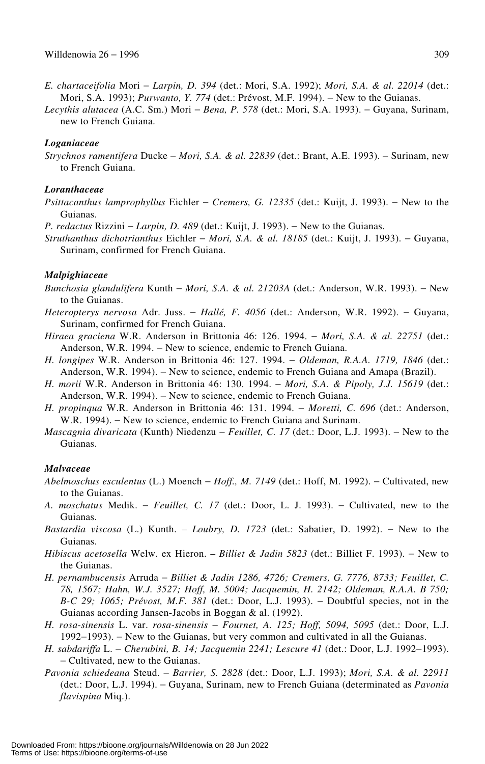- *E. chartaceifolia* Mori − *Larpin, D. 394* (det.: Mori, S.A. 1992); *Mori, S.A. & al. 22014* (det.: Mori, S.A. 1993); *Purwanto, Y. 774* (det.: Prévost, M.F. 1994). − New to the Guianas.
- *Lecythis alutacea* (A.C. Sm.) Mori − *Bena, P. 578* (det.: Mori, S.A. 1993). − Guyana, Surinam, new to French Guiana.

## *Loganiaceae*

*Strychnos ramentifera* Ducke − *Mori, S.A. & al. 22839* (det.: Brant, A.E. 1993). − Surinam, new to French Guiana.

#### *Loranthaceae*

- *Psittacanthus lamprophyllus* Eichler − *Cremers, G. 12335* (det.: Kuijt, J. 1993). − New to the Guianas.
- *P. redactus* Rizzini *− Larpin, D. 489* (det.: Kuijt, J. 1993). − New to the Guianas.
- *Struthanthus dichotrianthus* Eichler − *Mori, S.A. & al. 18185* (det.: Kuijt, J. 1993). − Guyana, Surinam, confirmed for French Guiana.

#### *Malpighiaceae*

- *Bunchosia glandulifera* Kunth − *Mori, S.A. & al. 21203A* (det.: Anderson, W.R. 1993). − New to the Guianas.
- *Heteropterys nervosa* Adr. Juss. − *Hallé, F. 4056* (det.: Anderson, W.R. 1992). − Guyana, Surinam, confirmed for French Guiana.
- *Hiraea graciena* W.R. Anderson in Brittonia 46: 126. 1994. − *Mori, S.A. & al. 22751* (det.: Anderson, W.R. 1994. − New to science, endemic to French Guiana.
- *H. longipes* W.R. Anderson in Brittonia 46: 127. 1994. − *Oldeman, R.A.A. 1719, 1846* (det.: Anderson, W.R. 1994). − New to science, endemic to French Guiana and Amapa (Brazil).
- *H. morii* W.R. Anderson in Brittonia 46: 130. 1994. − *Mori, S.A. & Pipoly, J.J. 15619* (det.: Anderson, W.R. 1994). − New to science, endemic to French Guiana.
- *H. propinqua* W.R. Anderson in Brittonia 46: 131. 1994. − *Moretti, C. 696* (det.: Anderson, W.R. 1994). − New to science, endemic to French Guiana and Surinam.
- *Mascagnia divaricata* (Kunth) Niedenzu *Feuillet, C. 17* (det.: Door, L.J. 1993). New to the Guianas.

#### *Malvaceae*

- *Abelmoschus esculentus* (L.) Moench − *Hoff., M. 7149* (det.: Hoff, M. 1992). − Cultivated, new to the Guianas.
- *A. moschatus* Medik. − *Feuillet, C. 17* (det.: Door, L. J. 1993). − Cultivated, new to the Guianas.
- *Bastardia viscosa* (L.) Kunth. *Loubry, D. 1723* (det.: Sabatier, D. 1992). − New to the Guianas.
- *Hibiscus acetosella* Welw. ex Hieron. *Billiet & Jadin 5823* (det.: Billiet F. 1993). − New to the Guianas.
- *H. pernambucensis* Arruda − *Billiet & Jadin 1286, 4726; Cremers, G. 7776, 8733; Feuillet, C. 78, 1567; Hahn, W.J. 3527; Hoff, M. 5004; Jacquemin, H. 2142; Oldeman, R.A.A. B 750; B-C 29; 1065; Prévost, M.F. 381* (det.: Door, L.J. 1993). − Doubtful species, not in the Guianas according Jansen-Jacobs in Boggan & al. (1992).
- *H. rosa-sinensis* L. var. *rosa-sinensis* − *Fournet, A. 125; Hoff, 5094, 5095* (det.: Door, L.J. 1992−1993). − New to the Guianas, but very common and cultivated in all the Guianas.
- *H. sabdariffa* L. − *Cherubini, B. 14; Jacquemin 2241; Lescure 41* (det.: Door, L.J. 1992−1993). − Cultivated, new to the Guianas.
- *Pavonia schiedeana* Steud. − *Barrier, S. 2828* (det.: Door, L.J. 1993); *Mori, S.A. & al. 22911* (det.: Door, L.J. 1994). − Guyana, Surinam, new to French Guiana (determinated as *Pavonia flavispina* Miq.).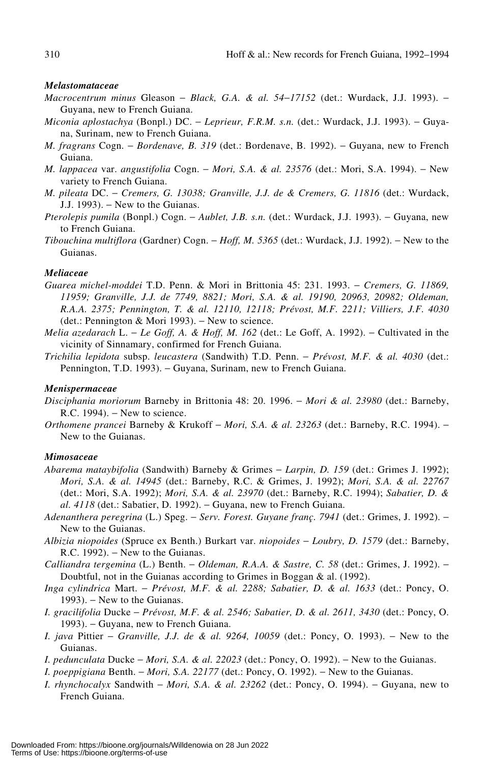#### *Melastomataceae*

- *Macrocentrum minus* Gleason − *Black, G.A. & al. 54*−*17152* (det.: Wurdack, J.J. 1993). − Guyana, new to French Guiana.
- *Miconia aplostachya* (Bonpl.) DC. − *Leprieur, F.R.M. s.n.* (det.: Wurdack, J.J. 1993). − Guyana, Surinam, new to French Guiana.
- *M. fragrans* Cogn. *Bordenave, B. 319* (det.: Bordenave, B. 1992). Guyana, new to French Guiana.
- *M. lappacea* var. *angustifolia* Cogn. − *Mori, S.A. & al. 23576* (det.: Mori, S.A. 1994). − New variety to French Guiana.
- *M. pileata* DC. − *Cremers, G. 13038; Granville, J.J. de & Cremers, G. 11816* (det.: Wurdack, J.J. 1993). − New to the Guianas.
- *Pterolepis pumila* (Bonpl.) Cogn. *Aublet, J.B. s.n.* (det.: Wurdack, J.J. 1993). Guyana, new to French Guiana.
- *Tibouchina multiflora* (Gardner) Cogn. − *Hoff, M. 5365* (det.: Wurdack, J.J. 1992). − New to the Guianas.

## *Meliaceae*

- *Guarea michel-moddei* T.D. Penn. & Mori in Brittonia 45: 231. 1993. − *Cremers, G. 11869, 11959; Granville, J.J. de 7749, 8821; Mori, S.A. & al. 19190, 20963, 20982; Oldeman, R.A.A. 2375; Pennington, T. & al. 12110, 12118; Prévost, M.F. 2211; Villiers, J.F. 4030* (det.: Pennington & Mori 1993). − New to science.
- *Melia azedarach* L. *Le Goff, A. & Hoff, M. 162* (det.: Le Goff, A. 1992). Cultivated in the vicinity of Sinnamary, confirmed for French Guiana.
- *Trichilia lepidota* subsp. *leucastera* (Sandwith) T.D. Penn. − *Prévost, M.F. & al. 4030* (det.: Pennington, T.D. 1993). – Guyana, Surinam, new to French Guiana.

#### *Menispermaceae*

- *Disciphania moriorum* Barneby in Brittonia 48: 20. 1996. − *Mori & al. 23980* (det.: Barneby, R.C. 1994). − New to science.
- *Orthomene prancei* Barneby & Krukoff − *Mori, S.A. & al. 23263* (det.: Barneby, R.C. 1994). − New to the Guianas.

#### *Mimosaceae*

- *Abarema mataybifolia* (Sandwith) Barneby & Grimes − *Larpin, D. 159* (det.: Grimes J. 1992); *Mori, S.A. & al. 14945* (det.: Barneby, R.C. & Grimes, J. 1992); *Mori, S.A. & al. 22767* (det.: Mori, S.A. 1992); *Mori, S.A. & al. 23970* (det.: Barneby, R.C. 1994); *Sabatier, D. & al. 4118* (det.: Sabatier, D. 1992). – Guyana, new to French Guiana.
- *Adenanthera peregrina* (L.) Speg. − *Serv. Forest. Guyane franç. 7941* (det.: Grimes, J. 1992). − New to the Guianas.
- *Albizia niopoides* (Spruce ex Benth.) Burkart var. *niopoides* − *Loubry, D. 1579* (det.: Barneby, R.C. 1992). – New to the Guianas.
- *Calliandra tergemina* (L.) Benth. − *Oldeman, R.A.A. & Sastre, C. 58* (det.: Grimes, J. 1992). − Doubtful, not in the Guianas according to Grimes in Boggan & al. (1992).
- *Inga cylindrica* Mart. − *Prévost, M.F. & al. 2288; Sabatier, D. & al. 1633* (det.: Poncy, O. 1993). – New to the Guianas.
- *I. gracilifolia* Ducke − *Prévost, M.F. & al. 2546; Sabatier, D. & al. 2611, 3430* (det.: Poncy, O. 1993). – Guyana, new to French Guiana.
- *I. java* Pittier − *Granville, J.J. de & al. 9264, 10059* (det.: Poncy, O. 1993). − New to the Guianas.
- *I. pedunculata* Ducke *Mori, S.A. & al. 22023* (det.: Poncy, O. 1992). New to the Guianas.
- *I. poeppigiana* Benth. − *Mori, S.A. 22177* (det.: Poncy, O. 1992). − New to the Guianas.
- *I. rhynchocalyx* Sandwith *Mori, S.A. & al. 23262* (det.: Poncy, O. 1994). Guyana, new to French Guiana.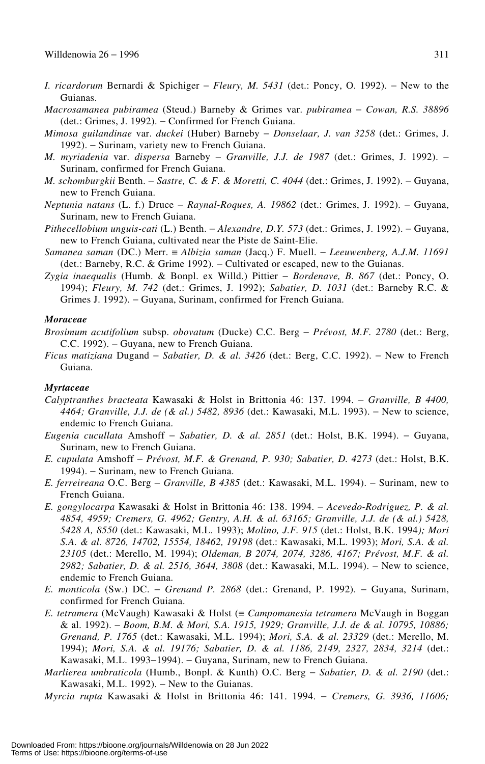- *I. ricardorum* Bernardi & Spichiger − *Fleury, M. 5431* (det.: Poncy, O. 1992). − New to the Guianas.
- *Macrosamanea pubiramea* (Steud.) Barneby & Grimes var. *pubiramea* − *Cowan, R.S. 38896* (det.: Grimes, J. 1992). − Confirmed for French Guiana.
- *Mimosa guilandinae* var. *duckei* (Huber) Barneby − *Donselaar, J. van 3258* (det.: Grimes, J. 1992). − Surinam, variety new to French Guiana.
- *M. myriadenia* var. *dispersa* Barneby − *Granville, J.J. de 1987* (det.: Grimes, J. 1992). − Surinam, confirmed for French Guiana.
- *M. schomburgkii* Benth. − *Sastre, C. & F. & Moretti, C. 4044* (det.: Grimes, J. 1992). − Guyana, new to French Guiana.
- *Neptunia natans* (L. f.) Druce − *Raynal-Roques, A. 19862* (det.: Grimes, J. 1992). − Guyana, Surinam, new to French Guiana.
- *Pithecellobium unguis-cati* (L.) Benth. − *Alexandre, D.Y. 573* (det.: Grimes, J. 1992). − Guyana, new to French Guiana, cultivated near the Piste de Saint-Elie.
- *Samanea saman* (DC.) Merr. ≡ *Albizia saman* (Jacq.) F. Muell. − *Leeuwenberg, A.J.M. 11691* (det.: Barneby, R.C. & Grime 1992). − Cultivated or escaped, new to the Guianas.
- *Zygia inaequalis* (Humb. & Bonpl. ex Willd.) Pittier − *Bordenave, B. 867* (det.: Poncy, O. 1994); *Fleury, M. 742* (det.: Grimes, J. 1992); *Sabatier, D. 1031* (det.: Barneby R.C. & Grimes J. 1992). − Guyana, Surinam, confirmed for French Guiana.

## *Moraceae*

- *Brosimum acutifolium* subsp. *obovatum* (Ducke) C.C. Berg − *Prévost, M.F. 2780* (det.: Berg, C.C. 1992). − Guyana, new to French Guiana.
- *Ficus matiziana* Dugand − *Sabatier, D. & al. 3426* (det.: Berg, C.C. 1992). − New to French Guiana.

#### *Myrtaceae*

- *Calyptranthes bracteata* Kawasaki & Holst in Brittonia 46: 137. 1994. − *Granville, B 4400, 4464; Granville, J.J. de (& al.) 5482, 8936* (det.: Kawasaki, M.L. 1993). – New to science, endemic to French Guiana.
- *Eugenia cucullata* Amshoff − *Sabatier, D. & al. 2851* (det.: Holst, B.K. 1994). − Guyana, Surinam, new to French Guiana.
- *E. cupulata* Amshoff − *Prévost, M.F. & Grenand, P. 930; Sabatier, D. 4273* (det.: Holst, B.K. 1994). − Surinam, new to French Guiana.
- *E. ferreireana* O.C. Berg − *Granville, B 4385* (det.: Kawasaki, M.L. 1994). − Surinam, new to French Guiana.
- *E. gongylocarpa* Kawasaki & Holst in Brittonia 46: 138. 1994. − *Acevedo-Rodriguez, P. & al. 4854, 4959; Cremers, G. 4962; Gentry, A.H. & al. 63165; Granville, J.J. de (& al.) 5428, 5428 A, 8550* (det.: Kawasaki, M.L. 1993); *Molino, J.F. 915* (det.: Holst, B.K. 1994*); Mori S.A. & al. 8726, 14702, 15554, 18462, 19198* (det.: Kawasaki, M.L. 1993); *Mori, S.A. & al. 23105* (det.: Merello, M. 1994); *Oldeman, B 2074, 2074, 3286, 4167; Prévost, M.F. & al.* 2982; Sabatier, D. & al. 2516, 3644, 3808 (det.: Kawasaki, M.L. 1994). – New to science, endemic to French Guiana.
- *E. monticola* (Sw.) DC. − *Grenand P. 2868* (det.: Grenand, P. 1992). − Guyana, Surinam, confirmed for French Guiana.
- *E. tetramera* (McVaugh) Kawasaki & Holst (≡ *Campomanesia tetramera* McVaugh in Boggan & al. 1992). − *Boom, B.M. & Mori, S.A. 1915, 1929; Granville, J.J. de & al. 10795, 10886; Grenand, P. 1765* (det.: Kawasaki, M.L. 1994); *Mori, S.A. & al. 23329* (det.: Merello, M. 1994); *Mori, S.A. & al. 19176; Sabatier, D. & al. 1186, 2149, 2327, 2834, 3214* (det.: Kawasaki, M.L. 1993−1994). − Guyana, Surinam, new to French Guiana.
- *Marlierea umbraticola* (Humb., Bonpl. & Kunth) O.C. Berg − *Sabatier, D. & al. 2190* (det.: Kawasaki, M.L. 1992). − New to the Guianas.

*Myrcia rupta* Kawasaki & Holst in Brittonia 46: 141. 1994. − *Cremers, G. 3936, 11606;*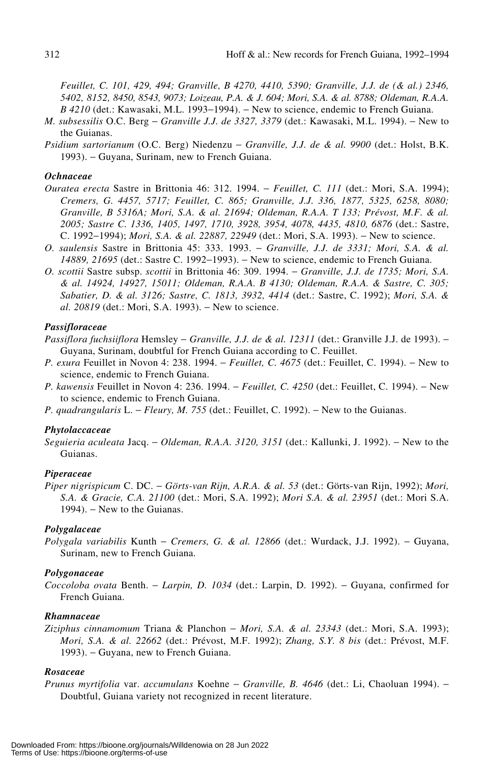*Feuillet, C. 101, 429, 494; Granville, B 4270, 4410, 5390; Granville, J.J. de (& al.) 2346, 5402, 8152, 8450, 8543, 9073; Loizeau, P.A. & J. 604; Mori, S.A. & al. 8788; Oldeman, R.A.A. B 4210* (det.: Kawasaki, M.L. 1993–1994). – New to science, endemic to French Guiana.

- *M. subsessilis* O.C. Berg − *Granville J.J. de 3327, 3379* (det.: Kawasaki, M.L. 1994). − New to the Guianas.
- *Psidium sartorianum* (O.C. Berg) Niedenzu − *Granville, J.J. de & al. 9900* (det.: Holst, B.K. 1993). − Guyana, Surinam, new to French Guiana.

## *Ochnaceae*

- *Ouratea erecta* Sastre in Brittonia 46: 312. 1994. − *Feuillet, C. 111* (det.: Mori, S.A. 1994); *Cremers, G. 4457, 5717; Feuillet, C. 865; Granville, J.J. 336, 1877, 5325, 6258, 8080; Granville, B 5316A; Mori, S.A. & al. 21694; Oldeman, R.A.A. T 133; Prévost, M.F. & al. 2005; Sastre C. 1336, 1405, 1497, 1710, 3928, 3954, 4078, 4435, 4810, 6876* (det.: Sastre, C. 1992−1994); *Mori, S.A. & al. 22887, 22949* (det.: Mori, S.A. 1993). − New to science.
- *O. saulensis* Sastre in Brittonia 45: 333. 1993. − *Granville, J.J. de 3331; Mori, S.A. & al. 14889, 21695* (det.: Sastre C. 1992–1993). – New to science, endemic to French Guiana.
- *O. scottii* Sastre subsp. *scottii* in Brittonia 46: 309. 1994. − *Granville, J.J. de 1735; Mori, S.A. & al. 14924, 14927, 15011; Oldeman, R.A.A. B 4130; Oldeman, R.A.A. & Sastre, C. 305; Sabatier, D. & al. 3126; Sastre, C. 1813, 3932, 4414* (det.: Sastre, C. 1992); *Mori, S.A. & al.* 20819 (det.: Mori, S.A. 1993). – New to science.

## *Passifloraceae*

- *Passiflora fuchsiiflora* Hemsley − *Granville, J.J. de & al. 12311* (det.: Granville J.J. de 1993). − Guyana, Surinam, doubtful for French Guiana according to C. Feuillet.
- *P. exura* Feuillet in Novon 4: 238. 1994. − *Feuillet, C. 4675* (det.: Feuillet, C. 1994). − New to science, endemic to French Guiana.
- *P. kawensis* Feuillet in Novon 4: 236. 1994. − *Feuillet, C. 4250* (det.: Feuillet, C. 1994). − New to science, endemic to French Guiana.
- *P. quadrangularis* L. − *Fleury, M. 755* (det.: Feuillet, C. 1992). − New to the Guianas.

#### *Phytolaccaceae*

*Seguieria aculeata* Jacq. − *Oldeman, R.A.A. 3120, 3151* (det.: Kallunki, J. 1992). − New to the Guianas.

## *Piperaceae*

*Piper nigrispicum* C. DC. − *Görts-van Rijn, A.R.A. & al. 53* (det.: Görts-van Rijn, 1992); *Mori, S.A. & Gracie, C.A. 21100* (det.: Mori, S.A. 1992); *Mori S.A. & al. 23951* (det.: Mori S.A. 1994). – New to the Guianas.

#### *Polygalaceae*

*Polygala variabilis* Kunth − *Cremers, G. & al. 12866* (det.: Wurdack, J.J. 1992). − Guyana, Surinam, new to French Guiana.

## *Polygonaceae*

*Coccoloba ovata* Benth. − *Larpin, D. 1034* (det.: Larpin, D. 1992). − Guyana, confirmed for French Guiana.

#### *Rhamnaceae*

*Ziziphus cinnamomum* Triana & Planchon − *Mori, S.A. & al. 23343* (det.: Mori, S.A. 1993); *Mori, S.A. & al. 22662* (det.: Prévost, M.F. 1992); *Zhang, S.Y. 8 bis* (det.: Prévost, M.F. 1993). − Guyana, new to French Guiana.

## *Rosaceae*

*Prunus myrtifolia* var. *accumulans* Koehne − *Granville, B. 4646* (det.: Li, Chaoluan 1994). − Doubtful, Guiana variety not recognized in recent literature.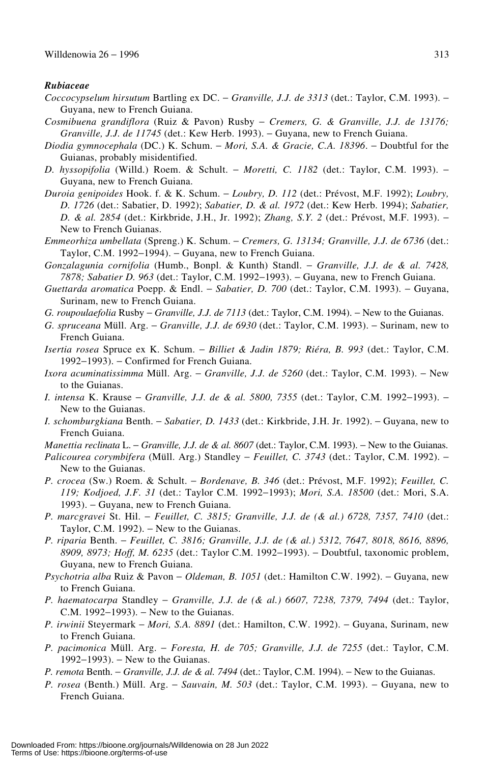#### *Rubiaceae*

- *Coccocypselum hirsutum* Bartling ex DC. − *Granville, J.J. de 3313* (det.: Taylor, C.M. 1993). − Guyana, new to French Guiana.
- *Cosmibuena grandiflora* (Ruiz & Pavon) Rusby − *Cremers, G. & Granville, J.J. de 13176; Granville, J.J. de 11745* (det.: Kew Herb. 1993). – Guyana, new to French Guiana.
- *Diodia gymnocephala* (DC.) K. Schum. − *Mori, S.A. & Gracie, C.A. 18396*. − Doubtful for the Guianas, probably misidentified.
- *D. hyssopifolia* (Willd.) Roem. & Schult. − *Moretti, C. 1182* (det.: Taylor, C.M. 1993). − Guyana, new to French Guiana.
- *Duroia genipoides* Hook. f. & K. Schum. − *Loubry, D. 112* (det.: Prévost, M.F. 1992); *Loubry, D. 1726* (det.: Sabatier, D. 1992); *Sabatier, D. & al. 1972* (det.: Kew Herb. 1994); *Sabatier, D. & al. 2854* (det.: Kirkbride, J.H., Jr. 1992); *Zhang, S.Y. 2* (det.: Prévost, M.F. 1993). − New to French Guianas.
- *Emmeorhiza umbellata* (Spreng.) K. Schum. − *Cremers, G. 13134; Granville, J.J. de 6736* (det.: Taylor, C.M. 1992–1994). – Guyana, new to French Guiana.
- *Gonzalagunia cornifolia* (Humb., Bonpl. & Kunth) Standl. − *Granville, J.J. de & al. 7428, 7878; Sabatier D. 963* (det.: Taylor, C.M. 1992−1993). − Guyana, new to French Guiana.
- *Guettarda aromatica* Poepp. & Endl. − *Sabatier, D. 700* (det.: Taylor, C.M. 1993). − Guyana, Surinam, new to French Guiana.
- *G. roupoulaefolia* Rusby *Granville, J.J. de 7113* (det.: Taylor, C.M. 1994). New to the Guianas.
- *G. spruceana* Müll. Arg. − *Granville, J.J. de 6930* (det.: Taylor, C.M. 1993). − Surinam, new to French Guiana.
- *Isertia rosea* Spruce ex K. Schum. − *Billiet & Jadin 1879; Riéra, B. 993* (det.: Taylor, C.M. 1992−1993). − Confirmed for French Guiana.
- *Ixora acuminatissimma* Müll. Arg. *Granville, J.J. de 5260* (det.: Taylor, C.M. 1993). New to the Guianas.
- *I. intensa* K. Krause *Granville, J.J. de & al. 5800, 7355* (det.: Taylor, C.M. 1992–1993). New to the Guianas.
- *I. schomburgkiana* Benth. − *Sabatier, D. 1433* (det.: Kirkbride, J.H. Jr. 1992). − Guyana, new to French Guiana.
- *Manettia reclinata* L. *Granville, J.J. de & al. 8607* (det.: Taylor, C.M. 1993). New to the Guianas.
- *Palicourea corymbifera* (Müll. Arg.) Standley *Feuillet, C. 3743* (det.: Taylor, C.M. 1992). New to the Guianas.
- *P. crocea* (Sw.) Roem. & Schult. − *Bordenave, B. 346* (det.: Prévost, M.F. 1992); *Feuillet, C. 119; Kodjoed, J.F. 31* (det.: Taylor C.M. 1992−1993); *Mori, S.A. 18500* (det.: Mori, S.A. 1993). – Guyana, new to French Guiana.
- *P. marcgravei* St. Hil. − *Feuillet, C. 3815; Granville, J.J. de (& al.) 6728, 7357, 7410* (det.: Taylor, C.M. 1992). − New to the Guianas.
- *P. riparia* Benth. − *Feuillet, C. 3816; Granville, J.J. de (& al.) 5312, 7647, 8018, 8616, 8896, 8909, 8973; Hoff, M. 6235* (det.: Taylor C.M. 1992−1993). − Doubtful, taxonomic problem, Guyana, new to French Guiana.
- *Psychotria alba* Ruiz & Pavon − *Oldeman, B. 1051* (det.: Hamilton C.W. 1992). − Guyana, new to French Guiana.
- *P. haematocarpa* Standley *Granville, J.J. de (& al.) 6607, 7238, 7379, 7494* (det.: Taylor, C.M. 1992−1993). − New to the Guianas.
- *P. irwinii* Steyermark − *Mori, S.A. 8891* (det.: Hamilton, C.W. 1992). − Guyana, Surinam, new to French Guiana.
- *P. pacimonica* Müll. Arg. − *Foresta, H. de 705; Granville, J.J. de 7255* (det.: Taylor, C.M. 1992−1993). − New to the Guianas.
- *P. remota* Benth. *Granville, J.J. de & al. 7494* (det.: Taylor, C.M. 1994). New to the Guianas.
- *P. rosea* (Benth.) Müll. Arg. *Sauvain, M. 503* (det.: Taylor, C.M. 1993). Guyana, new to French Guiana.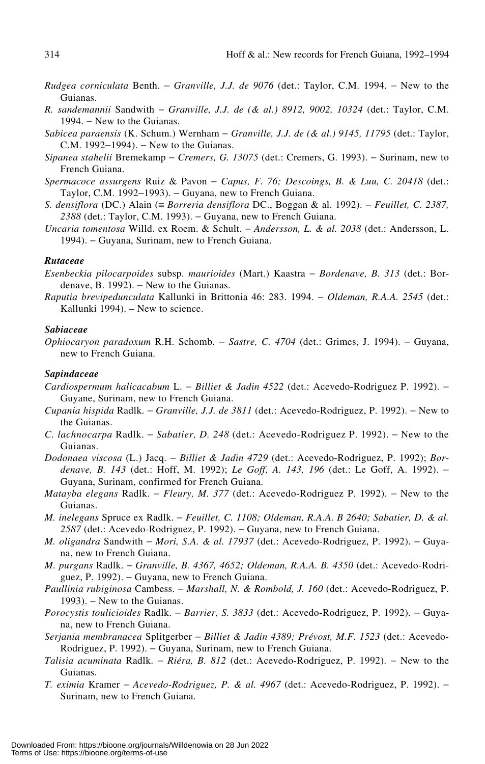- *Rudgea corniculata* Benth. − *Granville, J.J. de 9076* (det.: Taylor, C.M. 1994. − New to the Guianas.
- *R. sandemannii* Sandwith − *Granville, J.J. de (& al.) 8912, 9002, 10324* (det.: Taylor, C.M. 1994. – New to the Guianas.
- *Sabicea paraensis* (K. Schum.) Wernham − *Granville, J.J. de (& al.) 9145, 11795* (det.: Taylor, C.M. 1992−1994). − New to the Guianas.
- *Sipanea stahelii* Bremekamp − *Cremers, G. 13075* (det.: Cremers, G. 1993). − Surinam, new to French Guiana.
- *Spermacoce assurgens* Ruiz & Pavon − *Capus, F. 76; Descoings, B. & Luu, C. 20418* (det.: Taylor, C.M. 1992−1993). − Guyana, new to French Guiana.
- *S. densiflora* (DC.) Alain (≡ *Borreria densiflora* DC., Boggan & al. 1992). − *Feuillet, C. 2387,* 2388 (det.: Taylor, C.M. 1993). – Guyana, new to French Guiana.
- *Uncaria tomentosa* Willd. ex Roem. & Schult. − *Andersson, L. & al. 2038* (det.: Andersson, L. 1994). − Guyana, Surinam, new to French Guiana.

#### *Rutaceae*

*Esenbeckia pilocarpoides* subsp. *maurioides* (Mart.) Kaastra − *Bordenave, B. 313* (det.: Bordenave, B. 1992).  $-$  New to the Guianas.

*Raputia brevipedunculata* Kallunki in Brittonia 46: 283. 1994. − *Oldeman, R.A.A. 2545* (det.: Kallunki 1994). – New to science.

## *Sabiaceae*

*Ophiocaryon paradoxum* R.H. Schomb. − *Sastre, C. 4704* (det.: Grimes, J. 1994). − Guyana, new to French Guiana.

#### *Sapindaceae*

- *Cardiospermum halicacabum* L. − *Billiet & Jadin 4522* (det.: Acevedo-Rodriguez P. 1992). − Guyane, Surinam, new to French Guiana.
- *Cupania hispida* Radlk. − *Granville, J.J. de 3811* (det.: Acevedo-Rodriguez, P. 1992). − New to the Guianas.
- *C. lachnocarpa* Radlk. − *Sabatier, D. 248* (det.: Acevedo-Rodriguez P. 1992). − New to the Guianas.
- *Dodonaea viscosa* (L.) Jacq. − *Billiet & Jadin 4729* (det.: Acevedo-Rodriguez, P. 1992); *Bordenave, B. 143* (det.: Hoff, M. 1992); *Le Goff, A. 143, 196* (det.: Le Goff, A. 1992). − Guyana, Surinam, confirmed for French Guiana.
- *Matayba elegans* Radlk. *Fleury, M. 377* (det.: Acevedo-Rodriguez P. 1992). New to the Guianas.
- *M. inelegans* Spruce ex Radlk. − *Feuillet, C. 1108; Oldeman, R.A.A. B 2640; Sabatier, D. & al.* 2587 (det.: Acevedo-Rodriguez, P. 1992). – Guyana, new to French Guiana.
- *M. oligandra* Sandwith *Mori, S.A. & al. 17937* (det.: Acevedo-Rodriguez, P. 1992). Guyana, new to French Guiana.
- *M. purgans* Radlk. − *Granville, B. 4367, 4652; Oldeman, R.A.A. B. 4350* (det.: Acevedo-Rodriguez, P. 1992). – Guyana, new to French Guiana.
- *Paullinia rubiginosa* Cambess. − *Marshall, N. & Rombold, J. 160* (det.: Acevedo-Rodriguez, P. 1993). – New to the Guianas.
- *Porocystis toulicioides* Radlk. − *Barrier, S. 3833* (det.: Acevedo-Rodriguez, P. 1992). − Guyana, new to French Guiana.
- *Serjania membranacea* Splitgerber − *Billiet & Jadin 4389; Prévost, M.F. 1523* (det.: Acevedo-Rodriguez, P. 1992). – Guyana, Surinam, new to French Guiana.
- *Talisia acuminata* Radlk. − *Riéra, B. 812* (det.: Acevedo-Rodriguez, P. 1992). − New to the Guianas.
- *T. eximia* Kramer − *Acevedo-Rodriguez, P. & al. 4967* (det.: Acevedo-Rodriguez, P. 1992). − Surinam, new to French Guiana.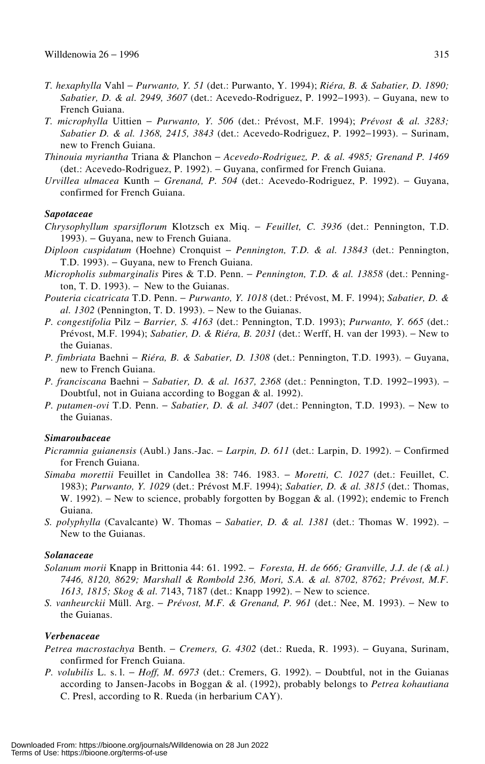- *T. hexaphylla* Vahl − *Purwanto, Y. 51* (det.: Purwanto, Y. 1994); *Riéra, B. & Sabatier, D. 1890; Sabatier, D. & al. 2949, 3607* (det.: Acevedo-Rodriguez, P. 1992−1993). − Guyana, new to French Guiana.
- *T. microphylla* Uittien − *Purwanto, Y. 506* (det.: Prévost, M.F. 1994); *Prévost & al. 3283; Sabatier D. & al. 1368, 2415, 3843* (det.: Acevedo-Rodriguez, P. 1992−1993). − Surinam, new to French Guiana.
- *Thinouia myriantha* Triana & Planchon − *Acevedo-Rodriguez, P. & al. 4985; Grenand P. 1469* (det.: Acevedo-Rodriguez, P. 1992). − Guyana, confirmed for French Guiana.
- *Urvillea ulmacea* Kunth − *Grenand, P. 504* (det.: Acevedo-Rodriguez, P. 1992). − Guyana, confirmed for French Guiana.

## *Sapotaceae*

- *Chrysophyllum sparsiflorum* Klotzsch ex Miq. − *Feuillet, C. 3936* (det.: Pennington, T.D. 1993). − Guyana, new to French Guiana.
- *Diploon cuspidatum* (Hoehne) Cronquist − *Pennington, T.D. & al. 13843* (det.: Pennington, T.D. 1993). – Guyana, new to French Guiana.
- *Micropholis submarginalis* Pires & T.D. Penn. − *Pennington, T.D. & al. 13858* (det.: Pennington, T. D. 1993).  $-$  New to the Guianas.
- *Pouteria cicatricata* T.D. Penn. − *Purwanto, Y. 1018* (det.: Prévost, M. F. 1994); *Sabatier, D. & al. 1302* (Pennington, T. D. 1993). − New to the Guianas.
- *P. congestifolia* Pilz − *Barrier, S. 4163* (det.: Pennington, T.D. 1993); *Purwanto, Y. 665* (det.: Prévost, M.F. 1994); *Sabatier, D. & Riéra, B. 2031* (det.: Werff, H. van der 1993). − New to the Guianas.
- *P. fimbriata* Baehni − *Riéra, B. & Sabatier, D. 1308* (det.: Pennington, T.D. 1993). − Guyana, new to French Guiana.
- *P. franciscana* Baehni *Sabatier, D. & al. 1637, 2368* (det.: Pennington, T.D. 1992–1993). Doubtful, not in Guiana according to Boggan & al. 1992).
- *P. putamen-ovi* T.D. Penn. *Sabatier, D. & al. 3407* (det.: Pennington, T.D. 1993). New to the Guianas.

## *Simaroubaceae*

- *Picramnia guianensis* (Aubl.) Jans.-Jac. − *Larpin, D. 611* (det.: Larpin, D. 1992). − Confirmed for French Guiana.
- *Simaba morettii* Feuillet in Candollea 38: 746. 1983. − *Moretti, C. 1027* (det.: Feuillet, C. 1983); *Purwanto, Y. 1029* (det.: Prévost M.F. 1994); *Sabatier, D. & al. 3815* (det.: Thomas, W. 1992). – New to science, probably forgotten by Boggan & al. (1992); endemic to French Guiana.
- *S. polyphylla* (Cavalcante) W. Thomas *Sabatier, D. & al. 1381* (det.: Thomas W. 1992). New to the Guianas.

## *Solanaceae*

- *Solanum morii* Knapp in Brittonia 44: 61. 1992. − *Foresta, H. de 666; Granville, J.J. de (& al.) 7446, 8120, 8629; Marshall & Rombold 236, Mori, S.A. & al. 8702, 8762; Prévost, M.F. 1613, 1815; Skog & al. 7143, 7187 (det.: Knapp 1992).* – New to science.
- *S. vanheurckii* Müll. Arg. − *Prévost, M.F. & Grenand, P. 961* (det.: Nee, M. 1993). − New to the Guianas.

#### *Verbenaceae*

- *Petrea macrostachya* Benth. − *Cremers, G. 4302* (det.: Rueda, R. 1993). − Guyana, Surinam, confirmed for French Guiana.
- *P. volubilis* L. s. l. − *Hoff, M. 6973* (det.: Cremers, G. 1992). − Doubtful, not in the Guianas according to Jansen-Jacobs in Boggan & al. (1992), probably belongs to *Petrea kohautiana* C. Presl, according to R. Rueda (in herbarium CAY).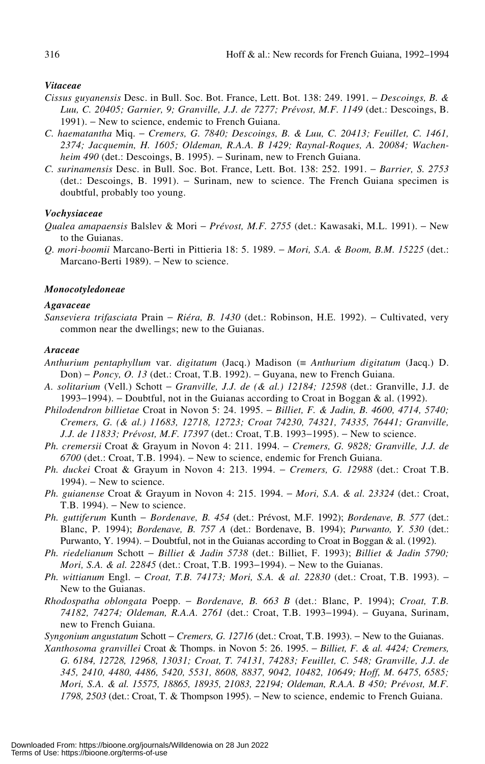#### *Vitaceae*

- *Cissus guyanensis* Desc. in Bull. Soc. Bot. France, Lett. Bot. 138: 249. 1991. − *Descoings, B. & Luu, C. 20405; Garnier, 9; Granville, J.J. de 7277; Prévost, M.F. 1149* (det.: Descoings, B. 1991). – New to science, endemic to French Guiana.
- *C. haematantha* Miq. − *Cremers, G. 7840; Descoings, B. & Luu, C. 20413; Feuillet, C. 1461, 2374; Jacquemin, H. 1605; Oldeman, R.A.A. B 1429; Raynal-Roques, A. 20084; Wachenheim 490* (det.: Descoings, B. 1995). – Surinam, new to French Guiana.
- *C. surinamensis* Desc. in Bull. Soc. Bot. France, Lett. Bot. 138: 252. 1991. − *Barrier, S. 2753* (det.: Descoings, B. 1991). − Surinam, new to science. The French Guiana specimen is doubtful, probably too young.

#### *Vochysiaceae*

*Qualea amapaensis* Balslev & Mori − *Prévost, M.F. 2755* (det.: Kawasaki, M.L. 1991). − New to the Guianas.

*Q. mori-boomii* Marcano-Berti in Pittieria 18: 5. 1989. − *Mori, S.A. & Boom, B.M. 15225* (det.: Marcano-Berti 1989). − New to science.

#### *Monocotyledoneae*

#### *Agavaceae*

*Sanseviera trifasciata* Prain − *Riéra, B. 1430* (det.: Robinson, H.E. 1992). − Cultivated, very common near the dwellings; new to the Guianas.

#### *Araceae*

- *Anthurium pentaphyllum* var. *digitatum* (Jacq.) Madison (≡ *Anthurium digitatum* (Jacq.) D. Don) – *Poncy, O. 13* (det.: Croat, T.B. 1992). – Guyana, new to French Guiana.
- *A. solitarium* (Vell.) Schott − *Granville, J.J. de (& al.) 12184; 12598* (det.: Granville, J.J. de 1993−1994). − Doubtful, not in the Guianas according to Croat in Boggan & al. (1992).
- *Philodendron billietae* Croat in Novon 5: 24. 1995. − *Billiet, F. & Jadin, B. 4600, 4714, 5740; Cremers, G. (& al.) 11683, 12718, 12723; Croat 74230, 74321, 74335, 76441; Granville, J.J. de 11833; Prévost, M.F. 17397* (det.: Croat, T.B. 1993–1995). − New to science.
- *Ph. cremersii* Croat & Grayum in Novon 4: 211. 1994. − *Cremers, G. 9828; Granville, J.J. de 6700* (det.: Croat, T.B. 1994). − New to science, endemic for French Guiana.
- *Ph. duckei* Croat & Grayum in Novon 4: 213. 1994. − *Cremers, G. 12988* (det.: Croat T.B.  $1994$ ). – New to science.
- *Ph. guianense* Croat & Grayum in Novon 4: 215. 1994. − *Mori, S.A. & al. 23324* (det.: Croat, T.B. 1994). – New to science.
- *Ph. guttiferum* Kunth − *Bordenave, B. 454* (det.: Prévost, M.F. 1992); *Bordenave, B. 577* (det.: Blanc, P. 1994); *Bordenave, B. 757 A* (det.: Bordenave, B. 1994); *Purwanto, Y. 530* (det.: Purwanto, Y. 1994). − Doubtful, not in the Guianas according to Croat in Boggan & al. (1992).
- *Ph. riedelianum* Schott − *Billiet & Jadin 5738* (det.: Billiet, F. 1993); *Billiet & Jadin 5790; Mori, S.A. & al. 22845* (det.: Croat, T.B. 1993–1994). – New to the Guianas.
- *Ph. wittianum* Engl. *Croat, T.B. 74173; Mori, S.A. & al. 22830* (det.: Croat, T.B. 1993). New to the Guianas.
- *Rhodospatha oblongata* Poepp. − *Bordenave, B. 663 B* (det.: Blanc, P. 1994); *Croat, T.B. 74182, 74274; Oldeman, R.A.A. 2761* (det.: Croat, T.B. 1993−1994). − Guyana, Surinam, new to French Guiana.

*Syngonium angustatum* Schott − *Cremers, G. 12716* (det.: Croat, T.B. 1993). − New to the Guianas.

*Xanthosoma granvillei* Croat & Thomps. in Novon 5: 26. 1995. − *Billiet, F. & al. 4424; Cremers, G. 6184, 12728, 12968, 13031; Croat, T. 74131, 74283; Feuillet, C. 548; Granville, J.J. de 345, 2410, 4480, 4486, 5420, 5531, 8608, 8837, 9042, 10482, 10649; Hoff, M. 6475, 6585; Mori, S.A. & al. 15575, 18865, 18935, 21083, 22194; Oldeman, R.A.A. B 450; Prévost, M.F. 1798, 2503* (det.: Croat, T. & Thompson 1995). – New to science, endemic to French Guiana.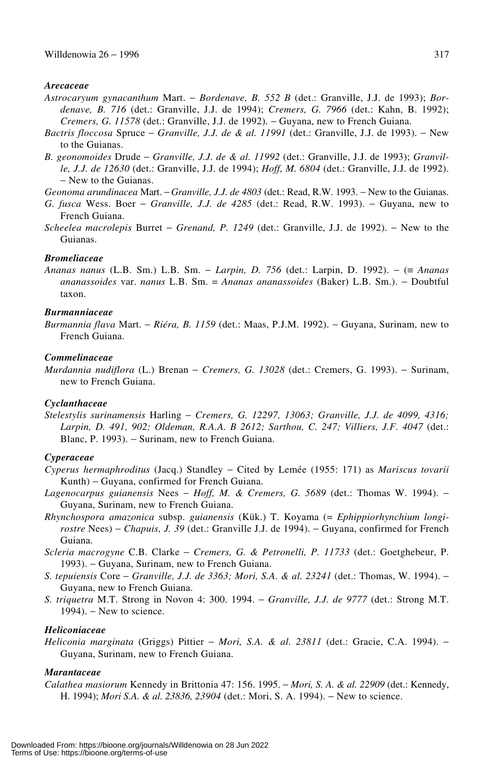#### *Arecaceae*

- *Astrocaryum gynacanthum* Mart. − *Bordenave, B. 552 B* (det.: Granville, J.J. de 1993); *Bordenave, B. 716* (det.: Granville, J.J. de 1994); *Cremers, G. 7966* (det.: Kahn, B. 1992); *Cremers, G. 11578* (det.: Granville, J.J. de 1992). − Guyana, new to French Guiana.
- *Bactris floccosa* Spruce − *Granville, J.J. de & al. 11991* (det.: Granville, J.J. de 1993). − New to the Guianas.
- *B. geonomoides* Drude − *Granville, J.J. de & al. 11992* (det.: Granville, J.J. de 1993); *Granville, J.J. de 12630* (det.: Granville, J.J. de 1994); *Hoff, M. 6804* (det.: Granville, J.J. de 1992). − New to the Guianas.

*Geonoma arundinacea* Mart. − *Granville, J.J. de 4803* (det.: Read, R.W. 1993. − New to the Guianas.

- *G. fusca* Wess. Boer − *Granville, J.J. de 4285* (det.: Read, R.W. 1993). − Guyana, new to French Guiana.
- *Scheelea macrolepis* Burret − *Grenand, P. 1249* (det.: Granville, J.J. de 1992). − New to the Guianas.

## *Bromeliaceae*

*Ananas nanus* (L.B. Sm.) L.B. Sm. − *Larpin, D. 756* (det.: Larpin, D. 1992). − (≡ *Ananas ananassoides* var. *nanus* L.B. Sm. = *Ananas ananassoides* (Baker) L.B. Sm.). − Doubtful taxon.

#### *Burmanniaceae*

*Burmannia flava* Mart. − *Riéra, B. 1159* (det.: Maas, P.J.M. 1992). − Guyana, Surinam, new to French Guiana.

## *Commelinaceae*

*Murdannia nudiflora* (L.) Brenan − *Cremers, G. 13028* (det.: Cremers, G. 1993). − Surinam, new to French Guiana.

## *Cyclanthaceae*

*Stelestylis surinamensis* Harling − *Cremers, G. 12297, 13063; Granville, J.J. de 4099, 4316; Larpin, D. 491, 902; Oldeman, R.A.A. B 2612; Sarthou, C. 247; Villiers, J.F. 4047* (det.: Blanc, P. 1993). – Surinam, new to French Guiana.

#### *Cyperaceae*

- *Cyperus hermaphroditus* (Jacq.) Standley − Cited by Lemée (1955: 171) as *Mariscus tovarii* Kunth) − Guyana, confirmed for French Guiana.
- *Lagenocarpus guianensis* Nees − *Hoff, M. & Cremers, G. 5689* (det.: Thomas W. 1994). − Guyana, Surinam, new to French Guiana.
- *Rhynchospora amazonica* subsp. *guianensis* (Kük.) T. Koyama (= *Ephippiorhynchium longirostre* Nees) − *Chapuis, J. 39* (det.: Granville J.J. de 1994). − Guyana, confirmed for French Guiana.
- *Scleria macrogyne* C.B. Clarke − *Cremers, G. & Petronelli, P. 11733* (det.: Goetghebeur, P. 1993). − Guyana, Surinam, new to French Guiana.
- *S. tepuiensis* Core − *Granville, J.J. de 3363; Mori, S.A. & al. 23241* (det.: Thomas, W. 1994). − Guyana, new to French Guiana.
- *S. triquetra* M.T. Strong in Novon 4: 300. 1994. − *Granville, J.J. de 9777* (det.: Strong M.T. 1994). – New to science.

#### *Heliconiaceae*

*Heliconia marginata* (Griggs) Pittier − *Mori, S.A. & al. 23811* (det.: Gracie, C.A. 1994). − Guyana, Surinam, new to French Guiana.

## *Marantaceae*

*Calathea masiorum* Kennedy in Brittonia 47: 156. 1995. − *Mori, S. A. & al. 22909* (det.: Kennedy, H. 1994); *Mori S.A. & al. 23836, 23904* (det.: Mori, S. A. 1994). − New to science.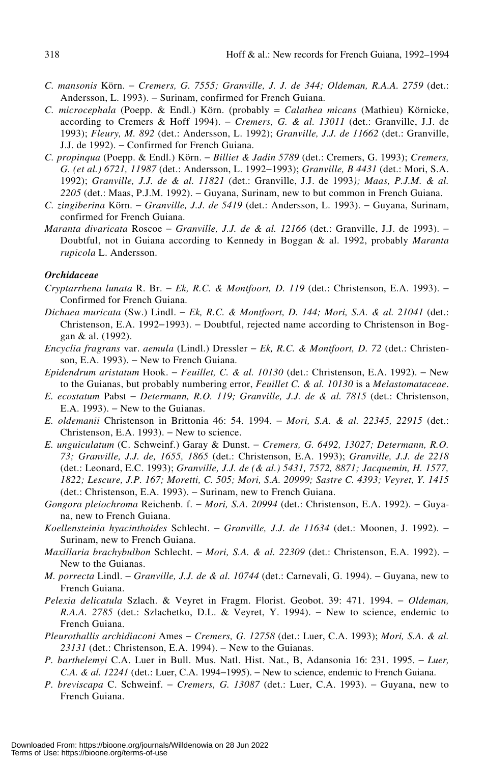- *C. mansonis* Körn. − *Cremers, G. 7555; Granville, J. J. de 344; Oldeman, R.A.A. 2759* (det.: Andersson, L. 1993). − Surinam, confirmed for French Guiana.
- *C. microcephala* (Poepp. & Endl.) Körn. (probably = *Calathea micans* (Mathieu) Körnicke, according to Cremers & Hoff 1994). − *Cremers, G. & al. 13011* (det.: Granville, J.J. de 1993); *Fleury, M. 892* (det.: Andersson, L. 1992); *Granville, J.J. de 11662* (det.: Granville, J.J. de 1992). − Confirmed for French Guiana.
- *C. propinqua* (Poepp. & Endl.) Körn. − *Billiet & Jadin 5789* (det.: Cremers, G. 1993); *Cremers, G. (et al.) 6721, 11987* (det.: Andersson, L. 1992−1993); *Granville, B 4431* (det.: Mori, S.A. 1992); *Granville, J.J. de & al. 11821* (det.: Granville, J.J. de 1993*); Maas, P.J.M. & al.* 2205<sup></sup> (det.: Maas, P.J.M. 1992). − Guyana, Surinam, new to but common in French Guiana.
- *C. zingiberina* Körn. − *Granville, J.J. de 5419* (det.: Andersson, L. 1993). − Guyana, Surinam, confirmed for French Guiana.
- *Maranta divaricata* Roscoe *Granville, J.J. de & al. 12166* (det.: Granville, J.J. de 1993). Doubtful, not in Guiana according to Kennedy in Boggan & al. 1992, probably *Maranta rupicola* L. Andersson.

## *Orchidaceae*

- *Cryptarrhena lunata* R. Br. − *Ek, R.C. & Montfoort, D. 119* (det.: Christenson, E.A. 1993). − Confirmed for French Guiana.
- *Dichaea muricata* (Sw.) Lindl. − *Ek, R.C. & Montfoort, D. 144; Mori, S.A. & al. 21041* (det.: Christenson, E.A. 1992−1993). − Doubtful, rejected name according to Christenson in Boggan & al. (1992).
- *Encyclia fragrans* var. *aemula* (Lindl.) Dressler − *Ek, R.C. & Montfoort, D. 72* (det.: Christenson, E.A. 1993). – New to French Guiana.
- *Epidendrum aristatum* Hook. − *Feuillet, C. & al. 10130* (det.: Christenson, E.A. 1992). − New to the Guianas, but probably numbering error, *Feuillet C. & al. 10130* is a *Melastomataceae*.
- *E. ecostatum* Pabst − *Determann, R.O. 119; Granville, J.J. de & al. 7815* (det.: Christenson, E.A. 1993). − New to the Guianas.
- *E. oldemanii* Christenson in Brittonia 46: 54. 1994. − *Mori, S.A. & al. 22345, 22915* (det.: Christenson, E.A. 1993). − New to science.
- *E. unguiculatum* (C. Schweinf.) Garay & Dunst. − *Cremers, G. 6492, 13027; Determann, R.O. 73; Granville, J.J. de, 1655, 1865* (det.: Christenson, E.A. 1993); *Granville, J.J. de 2218* (det.: Leonard, E.C. 1993); *Granville, J.J. de (& al.) 5431, 7572, 8871; Jacquemin, H. 1577, 1822; Lescure, J.P. 167; Moretti, C. 505; Mori, S.A. 20999; Sastre C. 4393; Veyret, Y. 1415* (det.: Christenson, E.A. 1993). − Surinam, new to French Guiana.
- *Gongora pleiochroma* Reichenb. f. − *Mori, S.A. 20994* (det.: Christenson, E.A. 1992). − Guyana, new to French Guiana.
- *Koellensteinia hyacinthoides* Schlecht. − *Granville, J.J. de 11634* (det.: Moonen, J. 1992). − Surinam, new to French Guiana.
- *Maxillaria brachybulbon* Schlecht. − *Mori, S.A. & al. 22309* (det.: Christenson, E.A. 1992). − New to the Guianas.
- *M. porrecta* Lindl. *Granville, J.J. de & al. 10744* (det.: Carnevali, G. 1994). Guyana, new to French Guiana.
- *Pelexia delicatula* Szlach. & Veyret in Fragm. Florist. Geobot. 39: 471. 1994. − *Oldeman, R.A.A. 2785* (det.: Szlachetko, D.L. & Veyret, Y. 1994). – New to science, endemic to French Guiana.
- *Pleurothallis archidiaconi* Ames − *Cremers, G. 12758* (det.: Luer, C.A. 1993); *Mori, S.A. & al.* 2*3131* (det.: Christenson, E.A. 1994). – New to the Guianas.
- *P. barthelemyi* C.A. Luer in Bull. Mus. Natl. Hist. Nat., B, Adansonia 16: 231. 1995. − *Luer, C.A. & al. 12241* (det.: Luer, C.A. 1994−1995). − New to science, endemic to French Guiana.
- *P. breviscapa* C. Schweinf. − *Cremers, G. 13087* (det.: Luer, C.A. 1993). − Guyana, new to French Guiana.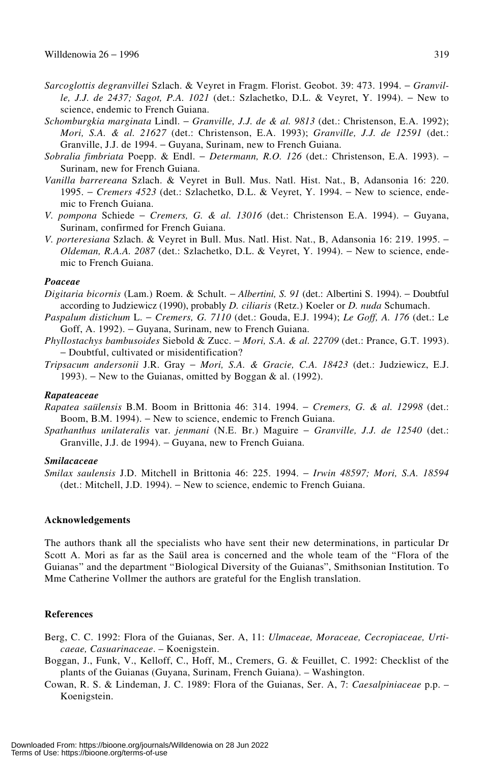- *Sarcoglottis degranvillei* Szlach. & Veyret in Fragm. Florist. Geobot. 39: 473. 1994. − *Granville, J.J. de 2437; Sagot, P.A. 1021* (det.: Szlachetko, D.L. & Veyret, Y. 1994). − New to science, endemic to French Guiana.
- *Schomburgkia marginata* Lindl. − *Granville, J.J. de & al. 9813* (det.: Christenson, E.A. 1992); *Mori, S.A. & al. 21627* (det.: Christenson, E.A. 1993); *Granville, J.J. de 12591* (det.: Granville, J.J. de 1994. − Guyana, Surinam, new to French Guiana.
- *Sobralia fimbriata* Poepp. & Endl. − *Determann, R.O. 126* (det.: Christenson, E.A. 1993). − Surinam, new for French Guiana.
- *Vanilla barrereana* Szlach. & Veyret in Bull. Mus. Natl. Hist. Nat., B, Adansonia 16: 220. 1995. − *Cremers 4523* (det.: Szlachetko, D.L. & Veyret, Y. 1994. − New to science, endemic to French Guiana.
- *V. pompona* Schiede − *Cremers, G. & al. 13016* (det.: Christenson E.A. 1994). − Guyana, Surinam, confirmed for French Guiana.
- *V. porteresiana* Szlach. & Veyret in Bull. Mus. Natl. Hist. Nat., B, Adansonia 16: 219. 1995. − *Oldeman, R.A.A. 2087* (det.: Szlachetko, D.L. & Veyret, Y. 1994). – New to science, endemic to French Guiana.

#### *Poaceae*

- *Digitaria bicornis* (Lam.) Roem. & Schult. − *Albertini, S. 91* (det.: Albertini S. 1994). − Doubtful according to Judziewicz (1990), probably *D. ciliaris* (Retz.) Koeler or *D. nuda* Schumach.
- *Paspalum distichum* L. − *Cremers, G. 7110* (det.: Gouda, E.J. 1994); *Le Goff, A. 176* (det.: Le Goff, A. 1992). – Guyana, Surinam, new to French Guiana.
- *Phyllostachys bambusoides* Siebold & Zucc. − *Mori, S.A. & al. 22709* (det.: Prance, G.T. 1993). − Doubtful, cultivated or misidentification?
- *Tripsacum andersonii* J.R. Gray − *Mori, S.A. & Gracie, C.A. 18423* (det.: Judziewicz, E.J. 1993). − New to the Guianas, omitted by Boggan & al. (1992).

#### *Rapateaceae*

- *Rapatea saülensis* B.M. Boom in Brittonia 46: 314. 1994. − *Cremers, G. & al. 12998* (det.: Boom, B.M. 1994). − New to science, endemic to French Guiana.
- *Spathanthus unilateralis* var. *jenmani* (N.E. Br.) Maguire − *Granville, J.J. de 12540* (det.: Granville, J.J. de 1994). − Guyana, new to French Guiana.

#### *Smilacaceae*

*Smilax saulensis* J.D. Mitchell in Brittonia 46: 225. 1994. − *Irwin 48597; Mori, S.A. 18594* (det.: Mitchell, J.D. 1994). − New to science, endemic to French Guiana.

#### **Acknowledgements**

The authors thank all the specialists who have sent their new determinations, in particular Dr Scott A. Mori as far as the Saül area is concerned and the whole team of the "Flora of the Guianas" and the department "Biological Diversity of the Guianas", Smithsonian Institution. To Mme Catherine Vollmer the authors are grateful for the English translation.

## **References**

- Berg, C. C. 1992: Flora of the Guianas, Ser. A, 11: *Ulmaceae, Moraceae, Cecropiaceae, Urticaeae, Casuarinaceae*. – Koenigstein.
- Boggan, J., Funk, V., Kelloff, C., Hoff, M., Cremers, G. & Feuillet, C. 1992: Checklist of the plants of the Guianas (Guyana, Surinam, French Guiana). – Washington.
- Cowan, R. S. & Lindeman, J. C. 1989: Flora of the Guianas, Ser. A, 7: *Caesalpiniaceae* p.p. Koenigstein.